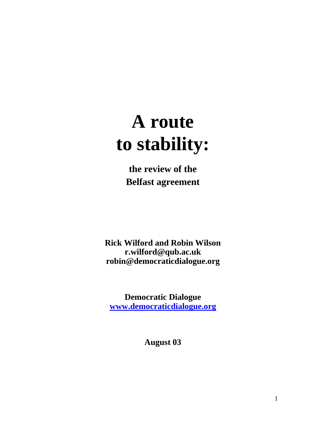# **A route to stability:**

**the review of the Belfast agreement** 

**Rick Wilford and Robin Wilson r.wilford@qub.ac.uk robin@democraticdialogue.org** 

**Democratic Dialogue [www.democraticdialogue.org](http://www.democraticdialogue.org/)**

**August 03**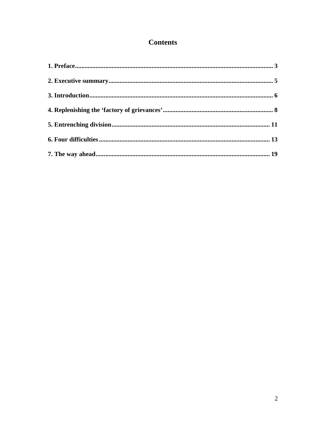# **Contents**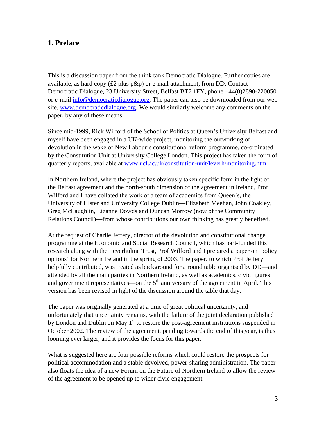#### <span id="page-2-0"></span>**1. Preface**

This is a discussion paper from the think tank Democratic Dialogue. Further copies are available, as hard copy (£2 plus p&p) or e-mail attachment, from DD. Contact Democratic Dialogue, 23 University Street, Belfast BT7 1FY, phone +44(0)2890-220050 or e-mail [info@democraticdialogue.org.](mailto:info@democraticdialogue.org) The paper can also be downloaded from our web site, [www.democraticdialogue.org](http://www.democraticdialogue.org/). We would similarly welcome any comments on the paper, by any of these means.

Since mid-1999, Rick Wilford of the School of Politics at Queen's University Belfast and myself have been engaged in a UK-wide project, monitoring the outworking of devolution in the wake of New Labour's constitutional reform programme, co-ordinated by the Constitution Unit at University College London. This project has taken the form of quarterly reports, available at [www.ucl.ac.uk/constitution-unit/leverh/monitoring.htm](http://www.ucl.ac.uk/constitution-unit/leverh/monitoring.htm).

In Northern Ireland, where the project has obviously taken specific form in the light of the Belfast agreement and the north-south dimension of the agreement in Ireland, Prof Wilford and I have collated the work of a team of academics from Queen's, the University of Ulster and University College Dublin—Elizabeth Meehan, John Coakley, Greg McLaughlin, Lizanne Dowds and Duncan Morrow (now of the Community Relations Council)—from whose contributions our own thinking has greatly benefited.

At the request of Charlie Jeffery, director of the devolution and constitutional change programme at the Economic and Social Research Council, which has part-funded this research along with the Leverhulme Trust, Prof Wilford and I prepared a paper on 'policy options' for Northern Ireland in the spring of 2003. The paper, to which Prof Jeffery helpfully contributed, was treated as background for a round table organised by DD—and attended by all the main parties in Northern Ireland, as well as academics, civic figures and government representatives—on the  $5<sup>th</sup>$  anniversary of the agreement in April. This version has been revised in light of the discussion around the table that day.

The paper was originally generated at a time of great political uncertainty, and unfortunately that uncertainty remains, with the failure of the joint declaration published by London and Dublin on May  $1<sup>st</sup>$  to restore the post-agreement institutions suspended in October 2002. The review of the agreement, pending towards the end of this year, is thus looming ever larger, and it provides the focus for this paper.

What is suggested here are four possible reforms which could restore the prospects for political accommodation and a stable devolved, power-sharing administration. The paper also floats the idea of a new Forum on the Future of Northern Ireland to allow the review of the agreement to be opened up to wider civic engagement.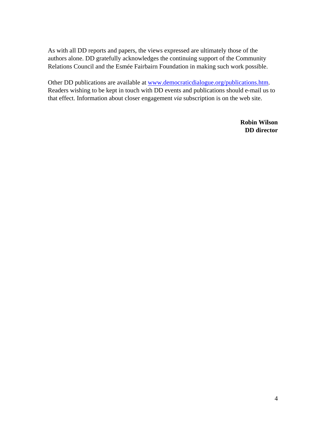As with all DD reports and papers, the views expressed are ultimately those of the authors alone. DD gratefully acknowledges the continuing support of the Community Relations Council and the Esmée Fairbairn Foundation in making such work possible.

Other DD publications are available at [www.democraticdialogue.org/publications.htm](http://www.democraticdialogue.org/publications.htm). Readers wishing to be kept in touch with DD events and publications should e-mail us to that effect. Information about closer engagement *via* subscription is on the web site.

> **Robin Wilson DD director**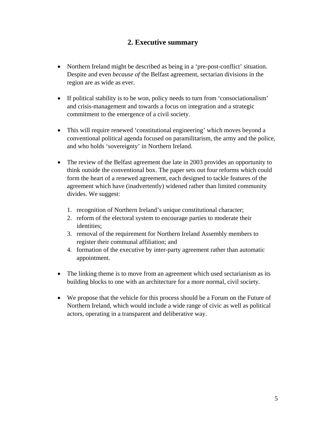## **2. Executive summary**

- <span id="page-4-0"></span>• Northern Ireland might be described as being in a 'pre-post-conflict' situation. Despite and even *because of* the Belfast agreement, sectarian divisions in the region are as wide as ever.
- If political stability is to be won, policy needs to turn from 'consociationalism' and crisis-management and towards a focus on integration and a strategic commitment to the emergence of a civil society.
- This will require renewed 'constitutional engineering' which moves beyond a conventional political agenda focused on paramilitarism, the army and the police, and who holds 'sovereignty' in Northern Ireland.
- The review of the Belfast agreement due late in 2003 provides an opportunity to think outside the conventional box. The paper sets out four reforms which could form the heart of a renewed agreement, each designed to tackle features of the agreement which have (inadvertently) widened rather than limited community divides. We suggest:
	- 1. recognition of Northern Ireland's unique constitutional character;
	- 2. reform of the electoral system to encourage parties to moderate their identities;
	- 3. removal of the requirement for Northern Ireland Assembly members to register their communal affiliation; and
	- 4. formation of the executive by inter-party agreement rather than automatic appointment.
- The linking theme is to move from an agreement which used sectarianism as its building blocks to one with an architecture for a more normal, civil society.
- We propose that the vehicle for this process should be a Forum on the Future of Northern Ireland, which would include a wide range of civic as well as political actors, operating in a transparent and deliberative way.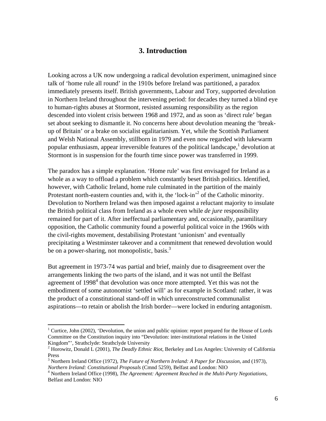#### **3. Introduction**

<span id="page-5-0"></span>Looking across a UK now undergoing a radical devolution experiment, unimagined since talk of 'home rule all round' in the 1910s before Ireland was partitioned, a paradox immediately presents itself. British governments, Labour and Tory, supported devolution in Northern Ireland throughout the intervening period: for decades they turned a blind eye to human-rights abuses at Stormont, resisted assuming responsibility as the region descended into violent crisis between 1968 and 1972, and as soon as 'direct rule' began set about seeking to dismantle it. No concerns here about devolution meaning the 'breakup of Britain' or a brake on socialist egalitarianism. Yet, while the Scottish Parliament and Welsh National Assembly, stillborn in 1979 and even now regarded with lukewarm popular enthusiasm, appear irreversible features of the political landscape,  $1$  [d](#page-5-1)evolution at Stormont is in suspension for the fourth time since power was transferred in 1999.

The paradox has a simple explanation. 'Home rule' was first envisaged for Ireland as a whole as a way to offload a problem which constantly beset British politics. Identified, however, with Catholic Ireland, home rule culminated in the partition of the mainly Protestant north-eastern counties and, with it, the 'lock-in'<sup>[2](#page-5-2)</sup> of the Catholic minority. Devolution to Northern Ireland was then imposed against a reluctant majority to insulate the British political class from Ireland as a whole even while *de jure* responsibility remained for part of it. After ineffectual parliamentary and, occasionally, paramilitary opposition, the Catholic community found a powerful political voice in the 1960s with the civil-rights movement, destabilising Protestant 'unionism' and eventually precipitating a Westminster takeover and a commitment that renewed devolution would be on a power-sharing, not monopolistic, basis.<sup>3</sup>

But agreement in 1973-74 was partial and brief, mainly due to disagreement over the arrangements linking the two parts of the island, and it was not until the Belfast agreement of  $1998<sup>4</sup>$  $1998<sup>4</sup>$  $1998<sup>4</sup>$  that devolution was once more attempted. Yet this was not the embodiment of some autonomist 'settled will' as for example in Scotland: rather, it was the product of a constitutional stand-off in which unreconstructed communalist aspirations—to retain or abolish the Irish border—were locked in enduring antagonism.

<span id="page-5-1"></span><sup>&</sup>lt;sup>1</sup> Curtice, John (2002), 'Devolution, the union and public opinion: report prepared for the House of Lords Committee on the Constitution inquiry into "Devolution: inter-institutional relations in the United Kingdom"', Strathclyde: Strathclyde University 2

<span id="page-5-2"></span><sup>&</sup>lt;sup>2</sup> Horowitz, Donald L (2001), *The Deadly Ethnic Riot*, Berkeley and Los Angeles: University of California Press

<span id="page-5-3"></span><sup>3</sup> Northern Ireland Office (1972), *The Future of Northern Ireland: A Paper for Discussion*, and (1973), *Northern Ireland: Constitutional Proposals* (Cmnd 5259), Belfast and London: NIO 4

<span id="page-5-4"></span>Northern Ireland Office (1998), *The Agreement: Agreement Reached in the Multi-Party Negotiations*, Belfast and London: NIO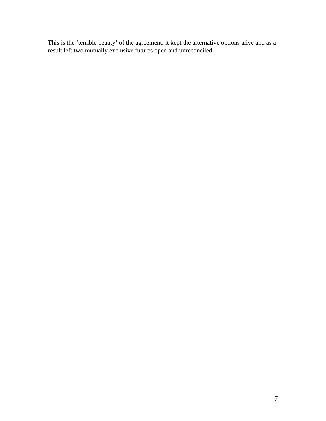This is the 'terrible beauty' of the agreement: it kept the alternative options alive and as a result left two mutually exclusive futures open and unreconciled.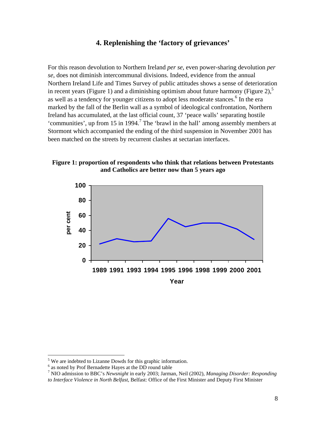#### **4. Replenishing the 'factory of grievances'**

<span id="page-7-0"></span>For this reason devolution to Northern Ireland *per se*, even power-sharing devolution *per se*, does not diminish intercommunal divisions. Indeed, evidence from the annual Northern Ireland Life and Times Survey of public attitudes shows a sense of deterioration in recent years (Figure 1) and a diminishing optimism about future harmony (Figure 2).<sup>5</sup> as well as a tendency for younger citizens to adopt less moderate stances.<sup>[6](#page-7-2)</sup> In the era marked by the fall of the Berlin wall as a symbol of ideological confrontation, Northern Ireland has accumulated, at the last official count, 37 'peace walls' separating hostile 'communities', up from 15 in 1994.<sup>[7](#page-7-3)</sup> The 'brawl in the hall' among assembly members at Stormont which accompanied the ending of the third suspension in November 2001 has been matched on the streets by recurrent clashes at sectarian interfaces.

#### **Figure 1: proportion of respondents who think that relations between Protestants and Catholics are better now than 5 years ago**



<span id="page-7-1"></span><sup>&</sup>lt;sup>5</sup> We are indebted to Lizanne Dowds for this graphic information.

<span id="page-7-2"></span> $\frac{6}{x}$  as noted by Prof Bernadette Hayes at the DD round table

<span id="page-7-3"></span>NIO admission to BBC's *Newsnight* in early 2003; Jarman, Neil (2002), *Managing Disorder: Responding to Interface Violence in North Belfast*, Belfast: Office of the First Minister and Deputy First Minister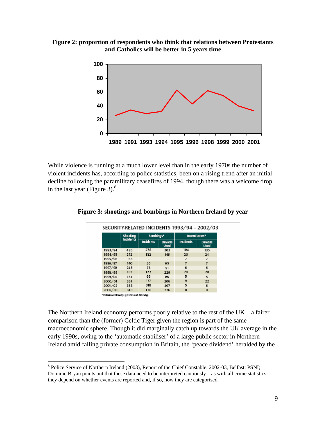**Figure 2: proportion of respondents who think that relations between Protestants and Catholics will be better in 5 years time**



While violence is running at a much lower level than in the early 1970s the number of violent incidents has, according to police statistics, been on a rising trend after an initial decline following the paramilitary ceasefires of 1994, though there was a welcome drop in the last year (Figure 3). $^{8}$  $^{8}$  $^{8}$ 

|         | Shooting         | Bombings*                |                               | Incendiaries*    |                               |  |
|---------|------------------|--------------------------|-------------------------------|------------------|-------------------------------|--|
|         | <b>Incidents</b> | Incidents                | <b>Devices</b><br><b>Used</b> | <b>Incidents</b> | <b>Devices</b><br><b>Used</b> |  |
| 1993/94 | 426              | 278                      | 303                           | 104              | 135                           |  |
| 1994/95 | 272              | 132                      | 146                           | 20               | 24                            |  |
| 1995/96 | 65               | $\overline{\phantom{0}}$ |                               | 7                |                               |  |
| 1996/97 | 140              | 50                       | 65                            | 7                | 7                             |  |
| 1997/98 | 245              | 73                       | 91                            | 6                | 6                             |  |
| 1998/99 | 187              | 123                      | 229                           | 20               | 20                            |  |
| 1999/00 | 131              | 66                       | 86                            | 5                | 5                             |  |
| 2000/01 | 331              | 177                      | 206                           | 9                | 22                            |  |
| 2001/02 | 358              | 318                      | 407                           | 5                | 6                             |  |
| 2002/03 | 348              | 178                      | 226                           | 8                | 8                             |  |

**Figure 3: shootings and bombings in Northern Ireland by year** 

The Northern Ireland economy performs poorly relative to the rest of the UK—a fairer comparison than the (former) Celtic Tiger given the region is part of the same macroeconomic sphere. Though it did marginally catch up towards the UK average in the early 1990s, owing to the 'automatic stabiliser' of a large public sector in Northern Ireland amid falling private consumption in Britain, the 'peace dividend' heralded by the

<span id="page-8-0"></span><sup>&</sup>lt;sup>8</sup> Police Service of Northern Ireland (2003), Report of the Chief Constable, 2002-03, Belfast: PSNI; Dominic Bryan points out that these data need to be interpreted cautiously—as with all crime statistics, they depend on whether events are reported and, if so, how they are categorised.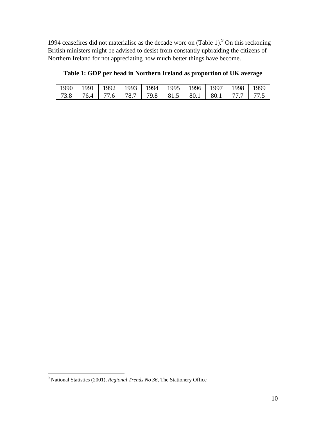1[9](#page-9-0)94 ceasefires did not materialise as the decade wore on  $(Table 1)<sup>9</sup>$  On this reckoning British ministers might be advised to desist from constantly upbraiding the citizens of Northern Ireland for not appreciating how much better things have become.

| 1990   1991   1992   1993   1994   1995   1996   1997   1998   1999 |  |  |  |  |  |
|---------------------------------------------------------------------|--|--|--|--|--|
| 73.8   76.4   77.6   78.7   79.8   81.5   80.1   80.1   77.7   77.5 |  |  |  |  |  |

**Table 1: GDP per head in Northern Ireland as proportion of UK average** 

<span id="page-9-0"></span> 9 National Statistics (2001), *Regional Trends No 36*, The Stationery Office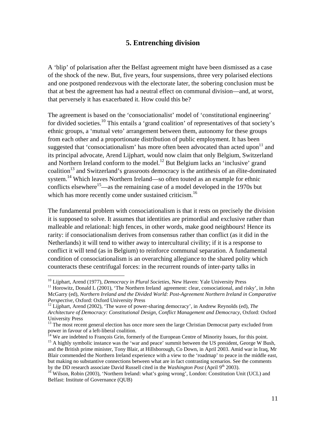#### **5. Entrenching division**

<span id="page-10-0"></span>A 'blip' of polarisation after the Belfast agreement might have been dismissed as a case of the shock of the new. But, five years, four suspensions, three very polarised elections and one postponed rendezvous with the electorate later, the sobering conclusion must be that at best the agreement has had a neutral effect on communal division—and, at worst, that perversely it has exacerbated it. How could this be?

The agreement is based on the 'consociationalist' model of 'constitutional engineering' for divided societies.<sup>10</sup> This entails a 'grand coalition' of representatives of that society's ethnic groups, a 'mutual veto' arrangement between them, autonomy for these groups from each other and a proportionate distribution of public employment. It has been suggested that 'consociationalism' has more often been advocated than acted upon $11$  and its principal advocate, Arend Lijphart, would now claim that only Belgium, Switzerland and Northern Ireland conform to the model.<sup>12</sup> But Belgium lacks an 'inclusive' grand coalition<sup>13</sup> and Switzerland's grassroots democracy is the antithesis of an élite-dominated system.<sup>14</sup> Which leaves Northern Ireland—so often touted as an example for ethnic conflicts elsewhere<sup>15</sup>—as the remaining case of a model developed in the 1970s but which has more recently come under sustained criticism.<sup>[16](#page-10-7)</sup>

The fundamental problem with consociationalism is that it rests on precisely the division it is supposed to solve. It assumes that identities are primordial and exclusive rather than malleable and relational: high fences, in other words, make good neighbours! Hence its rarity: if consociationalism derives from consensus rather than conflict (as it did in the Netherlands) it will tend to wither away to intercultural civility; if it is a response to conflict it will tend (as in Belgium) to reinforce communal separation. A fundamental condition of consociationalism is an overarching allegiance to the shared polity which counteracts these centrifugal forces: in the recurrent rounds of inter-party talks in

<span id="page-10-2"></span><span id="page-10-1"></span>

<sup>&</sup>lt;sup>10</sup> Lijphart, Arend (1977), *Democracy in Plural Societies*, New Haven: Yale University Press<br><sup>11</sup> Horowitz, Donald L (2001), 'The Northern Ireland agreement: clear, consociational, and risky', in John McGarry (ed), *Northern Ireland and the Divided World: Post-Agreement Northern Ireland in Comparative Perspective*, Oxford: Oxford University Press<br><sup>12</sup> Lijphart, Arend (2002), 'The wave of power-sharing democracy', in Andrew Reynolds (ed), *The* 

<span id="page-10-3"></span>*Architecture of Democracy: Constitutional Design, Conflict Management and Democracy*, Oxford: Oxford

<span id="page-10-4"></span>University Press<br><sup>13</sup> The most recent general election has once more seen the large Christian Democrat party excluded from<br>power in favour of a left-liberal coalition.

<span id="page-10-6"></span><span id="page-10-5"></span>

<sup>&</sup>lt;sup>14</sup> We are indebted to François Grin, formerly of the European Centre of Minority Issues, for this point.<br><sup>15</sup> A highly symbolic instance was the 'war and peace' summit between the US president, George W Bush, and the British prime minister, Tony Blair, at Hillsborough, Co Down, in April 2003. Amid war in Iraq, Mr Blair commended the Northern Ireland experience with a view to the 'roadmap' to peace in the middle east, but making no substantive connections between what are in fact contrasting scenarios. See the comments by the DD research associate David Russell cited in the *Washington Post* (April 9<sup>th</sup> 2003).<br><sup>16</sup> Wilson, Robin (2003), 'Northern Ireland: what's going wrong', London: Constitution Unit (UCL) and

<span id="page-10-7"></span>Belfast: Institute of Governance (QUB)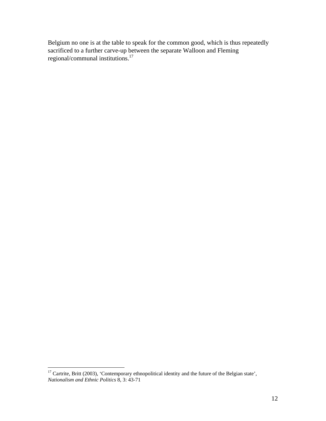Belgium no one is at the table to speak for the common good, which is thus repeatedly sacrificed to a further carve-up between the separate Walloon and Fleming regional/communal institutions.[17](#page-11-0)

<span id="page-11-0"></span> $17$  Cartrite, Britt (2003), 'Contemporary ethnopolitical identity and the future of the Belgian state', *Nationalism and Ethnic Politics* 8, 3: 43-71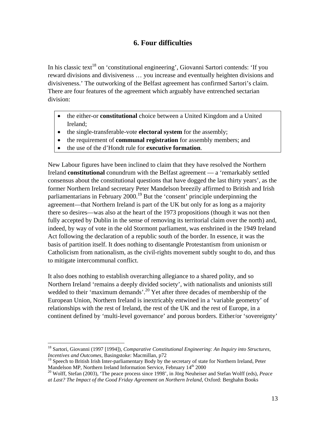## **6. Four difficulties**

<span id="page-12-0"></span>In his classic text<sup>18</sup> on 'constitutional engineering', Giovanni Sartori contends: 'If you reward divisions and divisiveness … you increase and eventually heighten divisions and divisiveness.' The outworking of the Belfast agreement has confirmed Sartori's claim. There are four features of the agreement which arguably have entrenched sectarian division:

- the either-or **constitutional** choice between a United Kingdom and a United Ireland;
- the single-transferable-vote **electoral system** for the assembly;
- the requirement of **communal registration** for assembly members; and
- the use of the d'Hondt rule for **executive formation**.

New Labour figures have been inclined to claim that they have resolved the Northern Ireland **constitutional** conundrum with the Belfast agreement — a 'remarkably settled consensus about the constitutional questions that have dogged the last thirty years', as the former Northern Ireland secretary Peter Mandelson breezily affirmed to British and Irish parliamentarians in February  $2000$ <sup>19</sup> But the 'consent' principle underpinning the agreement—that Northern Ireland is part of the UK but only for as long as a majority there so desires—was also at the heart of the 1973 propositions (though it was not then fully accepted by Dublin in the sense of removing its territorial claim over the north) and, indeed, by way of vote in the old Stormont parliament, was enshrined in the 1949 Ireland Act following the declaration of a republic south of the border. In essence, it was the basis of partition itself. It does nothing to disentangle Protestantism from unionism or Catholicism from nationalism, as the civil-rights movement subtly sought to do, and thus to mitigate intercommunal conflict.

It also does nothing to establish overarching allegiance to a shared polity, and so Northern Ireland 'remains a deeply divided society', with nationalists and unionists still wedded to their 'maximum demands'.<sup>20</sup> Yet after three decades of membership of the European Union, Northern Ireland is inextricably entwined in a 'variable geometry' of relationships with the rest of Ireland, the rest of the UK and the rest of Europe, in a continent defined by 'multi-level governance' and porous borders. Either/or 'sovereignty'

<span id="page-12-1"></span><sup>1</sup> <sup>18</sup> Sartori, Giovanni (1997 [1994]), *Comparative Constitutional Engineering: An Inquiry into Structures, Incentives and Outcomes*, Basingstoke: Macmillan, p72

<span id="page-12-2"></span><sup>&</sup>lt;sup>19</sup> Speech to British Irish Inter-parliamentary Body by the secretary of state for Northern Ireland, Peter Mandelson MP, Northern Ireland Information Service, February  $14<sup>th</sup> 2000$ 

<span id="page-12-3"></span><sup>&</sup>lt;sup>20</sup> Wolff, Stefan (2003), 'The peace process since 1998', in Jörg Neuheiser and Stefan Wolff (eds), *Peace at Last? The Impact of the Good Friday Agreement on Northern Ireland*, Oxford: Berghahn Books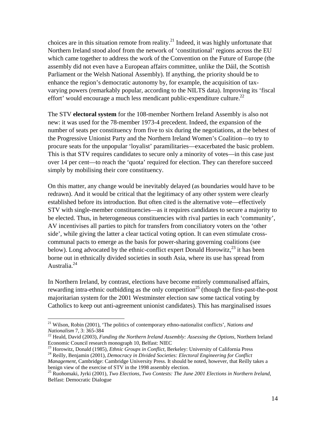choices are in this situation remote from reality.<sup>21</sup> Indeed, it was highly unfortunate that Northern Ireland stood aloof from the network of 'constitutional' regions across the EU which came together to address the work of the Convention on the Future of Europe (the assembly did not even have a European affairs committee, unlike the Dáil, the Scottish Parliament or the Welsh National Assembly). If anything, the priority should be to enhance the region's democratic autonomy by, for example, the acquisition of taxvarying powers (remarkably popular, according to the NILTS data). Improving its 'fiscal effort' would encourage a much less mendicant public-expenditure culture.<sup>22</sup>

The STV **electoral system** for the 108-member Northern Ireland Assembly is also not new: it was used for the 78-member 1973-4 precedent. Indeed, the expansion of the number of seats per constituency from five to six during the negotiations, at the behest of the Progressive Unionist Party and the Northern Ireland Women's Coalition—to try to procure seats for the unpopular 'loyalist' paramilitaries—exacerbated the basic problem. This is that STV requires candidates to secure only a minority of votes—in this case just over 14 per cent—to reach the 'quota' required for election. They can therefore succeed simply by mobilising their core constituency.

On this matter, any change would be inevitably delayed (as boundaries would have to be redrawn). And it would be critical that the legitimacy of any other system were clearly established before its introduction. But often cited is the alternative vote—effectively STV with single-member constituencies—as it requires candidates to secure a majority to be elected. Thus, in heterogeneous constituencies with rival parties in each 'community', AV incentivises all parties to pitch for transfers from conciliatory voters on the 'other side', while giving the latter a clear tactical voting option. It can even stimulate crosscommunal pacts to emerge as the basis for power-sharing governing coalitions (see below). Long advocated by the ethnic-conflict expert Donald Horowitz,  $^{23}$  it has been borne out in ethnically divided societies in south Asia, where its use has spread from Australia[.24](#page-13-3)

In Northern Ireland, by contrast, elections have become entirely communalised affairs, rewarding intra-ethnic outbidding as the only competition<sup>25</sup> (though the first-past-the-post majoritarian system for the 2001 Westminster election saw some tactical voting by Catholics to keep out anti-agreement unionist candidates). This has marginalised issues

<span id="page-13-0"></span><sup>&</sup>lt;sup>21</sup> Wilson, Robin (2001), 'The politics of contemporary ethno-nationalist conflicts', *Nations and Nationalism* 7, 3: 365-384

<span id="page-13-1"></span><sup>&</sup>lt;sup>22</sup> Heald, David (2003), *Funding the Northern Ireland Assembly: Assessing the Options*, Northern Ireland Economic Council research monograph 10, Belfast: NIEC

<span id="page-13-2"></span><sup>&</sup>lt;sup>23</sup> Horowitz, Donald (1985), *Ethnic Groups in Conflict*, Berkeley: University of California Press <sup>24</sup> Reilly, Benjamin (2001), *Democracy in Divided Societies: Electoral Engineering for Conflict* 

<span id="page-13-3"></span>*Management*, Cambridge: Cambridge University Press. It should be noted, however, that Reilly takes a benign view of the exercise of STV in the 1998 assembly election.

<span id="page-13-4"></span><sup>&</sup>lt;sup>25</sup> Ruohomaki, Jyrki (2001), *Two Elections, Two Contests: The June 2001 Elections in Northern Ireland,* Belfast: Democratic Dialogue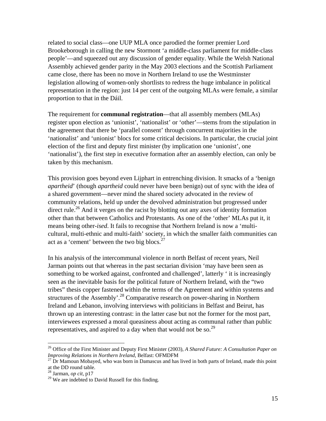related to social class—one UUP MLA once parodied the former premier Lord Brookeborough in calling the new Stormont 'a middle-class parliament for middle-class people'—and squeezed out any discussion of gender equality. While the Welsh National Assembly achieved gender parity in the May 2003 elections and the Scottish Parliament came close, there has been no move in Northern Ireland to use the Westminster legislation allowing of women-only shortlists to redress the huge imbalance in political representation in the region: just 14 per cent of the outgoing MLAs were female, a similar proportion to that in the Dáil.

The requirement for **communal registration**—that all assembly members (MLAs) register upon election as 'unionist', 'nationalist' or 'other'—stems from the stipulation in the agreement that there be 'parallel consent' through concurrent majorities in the 'nationalist' and 'unionist' blocs for some critical decisions. In particular, the crucial joint election of the first and deputy first minister (by implication one 'unionist', one 'nationalist'), the first step in executive formation after an assembly election, can only be taken by this mechanism.

This provision goes beyond even Lijphart in entrenching division. It smacks of a 'benign *apartheid*' (though *apartheid* could never have been benign) out of sync with the idea of a shared government—never mind the shared society advocated in the review of community relations, held up under the devolved administration but progressed under direct rule.<sup>26</sup> And it verges on the racist by blotting out any axes of identity formation other than that between Catholics and Protestants. As one of the 'other' MLAs put it, it means being other-*ised*. It fails to recognise that Northern Ireland is now a 'multicultural, multi-ethnic and multi-faith' society, in which the smaller faith communities can act as a 'cement' between the two big blocs. $27$ 

In his analysis of the intercommunal violence in north Belfast of recent years, Neil Jarman points out that whereas in the past sectarian division 'may have been seen as something to be worked against, confronted and challenged', latterly ' it is increasingly seen as the inevitable basis for the political future of Northern Ireland, with the "two tribes" thesis copper fastened within the terms of the Agreement and within systems and structures of the Assembly'.<sup>28</sup> Comparative research on power-sharing in Northern Ireland and Lebanon, involving interviews with politicians in Belfast and Beirut, has thrown up an interesting contrast: in the latter case but not the former for the most part, interviewees expressed a moral queasiness about acting as communal rather than public representatives, and aspired to a day when that would not be so.<sup>29</sup>

<span id="page-14-0"></span><sup>26</sup> Office of the First Minister and Deputy First Minister (2003), *A Shared Future: A Consultation Paper on Improving Relations in Northern Ireland*, Belfast: OFMDFM<br><sup>27</sup> Dr Mamoun Mobayed, who was born in Damascus and has lived in both parts of Ireland, made this point

<span id="page-14-1"></span>at the DD round table. 28 Jarman, *op cit*, p17

<span id="page-14-2"></span>

<span id="page-14-3"></span><sup>&</sup>lt;sup>29</sup> We are indebted to David Russell for this finding.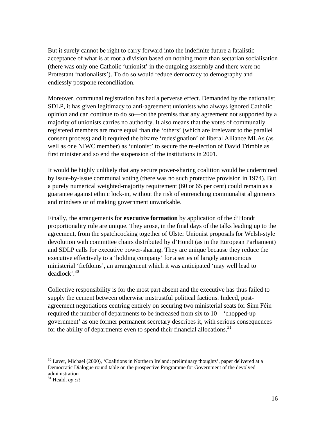But it surely cannot be right to carry forward into the indefinite future a fatalistic acceptance of what is at root a division based on nothing more than sectarian socialisation (there was only one Catholic 'unionist' in the outgoing assembly and there were no Protestant 'nationalists'). To do so would reduce democracy to demography and endlessly postpone reconciliation.

Moreover, communal registration has had a perverse effect. Demanded by the nationalist SDLP, it has given legitimacy to anti-agreement unionists who always ignored Catholic opinion and can continue to do so—on the premiss that any agreement not supported by a majority of unionists carries no authority. It also means that the votes of communally registered members are more equal than the 'others' (which are irrelevant to the parallel consent process) and it required the bizarre 'redesignation' of liberal Alliance MLAs (as well as one NIWC member) as 'unionist' to secure the re-election of David Trimble as first minister and so end the suspension of the institutions in 2001.

It would be highly unlikely that any secure power-sharing coalition would be undermined by issue-by-issue communal voting (there was no such protective provision in 1974). But a purely numerical weighted-majority requirement (60 or 65 per cent) could remain as a guarantee against ethnic lock-in, without the risk of entrenching communalist alignments and mindsets or of making government unworkable.

Finally, the arrangements for **executive formation** by application of the d'Hondt proportionality rule are unique. They arose, in the final days of the talks leading up to the agreement, from the spatchcocking together of Ulster Unionist proposals for Welsh-style devolution with committee chairs distributed by d'Hondt (as in the European Parliament) and SDLP calls for executive power-sharing. They are unique because they reduce the executive effectively to a 'holding company' for a series of largely autonomous ministerial 'fiefdoms', an arrangement which it was anticipated 'may well lead to deadlock'[.30](#page-15-0) 

Collective responsibility is for the most part absent and the executive has thus failed to supply the cement between otherwise mistrustful political factions. Indeed, postagreement negotiations centring entirely on securing two ministerial seats for Sinn Féin required the number of departments to be increased from six to 10—'chopped-up government' as one former permanent secretary describes it, with serious consequences for the ability of departments even to spend their financial allocations.<sup>31</sup>

<span id="page-15-0"></span><sup>&</sup>lt;sup>30</sup> Laver, Michael (2000), 'Coalitions in Northern Ireland: preliminary thoughts', paper delivered at a Democratic Dialogue round table on the prospective Programme for Government of the devolved

<span id="page-15-1"></span><sup>&</sup>lt;sup>31</sup> Heald, *op cit*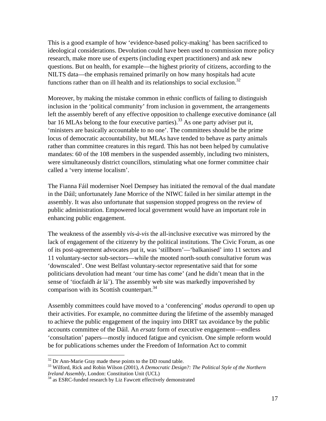This is a good example of how 'evidence-based policy-making' has been sacrificed to ideological considerations. Devolution could have been used to commission more policy research, make more use of experts (including expert practitioners) and ask new questions. But on health, for example—the highest priority of citizens, according to the NILTS data—the emphasis remained primarily on how many hospitals had acute functions rather than on ill health and its relationships to social exclusion.<sup>32</sup>

Moreover, by making the mistake common in ethnic conflicts of failing to distinguish inclusion in the 'political community' from inclusion in government, the arrangements left the assembly bereft of any effective opposition to challenge executive dominance (all bar 16 MLAs belong to the four executive parties).<sup>33</sup> As one party adviser put it, 'ministers are basically accountable to no one'. The committees should be the prime locus of democratic accountability, but MLAs have tended to behave as party animals rather than committee creatures in this regard. This has not been helped by cumulative mandates: 60 of the 108 members in the suspended assembly, including two ministers, were simultaneously district councillors, stimulating what one former committee chair called a 'very intense localism'.

The Fianna Fáil moderniser Noel Dempsey has initiated the removal of the dual mandate in the Dáil; unfortunately Jane Morrice of the NIWC failed in her similar attempt in the assembly. It was also unfortunate that suspension stopped progress on the review of public administration. Empowered local government would have an important role in enhancing public engagement.

The weakness of the assembly *vis-à-vis* the all-inclusive executive was mirrored by the lack of engagement of the citizenry by the political institutions. The Civic Forum, as one of its post-agreement advocates put it, was 'stillborn'—'balkanised' into 11 sectors and 11 voluntary-sector sub-sectors—while the mooted north-south consultative forum was 'downscaled'. One west Belfast voluntary-sector representative said that for some politicians devolution had meant 'our time has come' (and he didn't mean that in the sense of 'tiocfaidh ár lá'). The assembly web site was markedly impoverished by comparison with its Scottish counterpart.<sup>34</sup>

Assembly committees could have moved to a 'conferencing' *modus operandi* to open up their activities. For example, no committee during the lifetime of the assembly managed to achieve the public engagement of the inquiry into DIRT tax avoidance by the public accounts committee of the Dáil. An *ersatz* form of executive engagement—endless 'consultation' papers—mostly induced fatigue and cynicism. One simple reform would be for publications schemes under the Freedom of Information Act to commit

<span id="page-16-1"></span><span id="page-16-0"></span>

<sup>&</sup>lt;sup>32</sup> Dr Ann-Marie Gray made these points to the DD round table.<br><sup>33</sup> Wilford, Rick and Robin Wilson (2001), *A Democratic Design?: The Political Style of the Northern Ireland Assembly*, London: Constitution Unit (UCL)

<span id="page-16-2"></span><sup>&</sup>lt;sup>34</sup> as ESRC-funded research by Liz Fawcett effectively demonstrated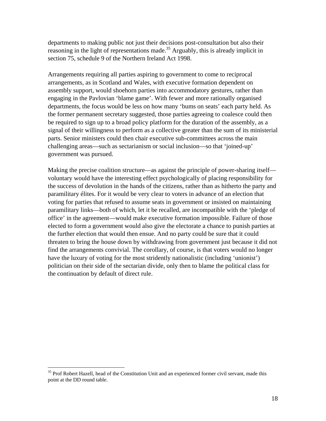departments to making public not just their decisions post-consultation but also their reasoning in the light of representations made.<sup>35</sup> Arguably, this is already implicit in section 75, schedule 9 of the Northern Ireland Act 1998.

Arrangements requiring all parties aspiring to government to come to reciprocal arrangements, as in Scotland and Wales, with executive formation dependent on assembly support, would shoehorn parties into accommodatory gestures, rather than engaging in the Pavlovian 'blame game'. With fewer and more rationally organised departments, the focus would be less on how many 'bums on seats' each party held. As the former permanent secretary suggested, those parties agreeing to coalesce could then be required to sign up to a broad policy platform for the duration of the assembly, as a signal of their willingness to perform as a collective greater than the sum of its ministerial parts. Senior ministers could then chair executive sub-committees across the main challenging areas—such as sectarianism or social inclusion—so that 'joined-up' government was pursued.

Making the precise coalition structure—as against the principle of power-sharing itself voluntary would have the interesting effect psychologically of placing responsibility for the success of devolution in the hands of the citizens, rather than as hitherto the party and paramilitary élites. For it would be very clear to voters in advance of an election that voting for parties that refused to assume seats in government or insisted on maintaining paramilitary links—both of which, let it be recalled, are incompatible with the 'pledge of office' in the agreement—would make executive formation impossible. Failure of those elected to form a government would also give the electorate a chance to punish parties at the further election that would then ensue. And no party could be sure that it could threaten to bring the house down by withdrawing from government just because it did not find the arrangements convivial. The corollary, of course, is that voters would no longer have the luxury of voting for the most stridently nationalistic (including 'unionist') politician on their side of the sectarian divide, only then to blame the political class for the continuation by default of direct rule.

<span id="page-17-0"></span><sup>&</sup>lt;sup>35</sup> Prof Robert Hazell, head of the Constitution Unit and an experienced former civil servant, made this point at the DD round table.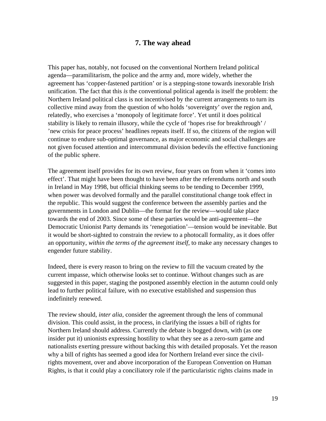#### **7. The way ahead**

<span id="page-18-0"></span>This paper has, notably, not focused on the conventional Northern Ireland political agenda—paramilitarism, the police and the army and, more widely, whether the agreement has 'copper-fastened partition' or is a stepping-stone towards inexorable Irish unification. The fact that this *is* the conventional political agenda is itself the problem: the Northern Ireland political class is not incentivised by the current arrangements to turn its collective mind away from the question of who holds 'sovereignty' over the region and, relatedly, who exercises a 'monopoly of legitimate force'. Yet until it does political stability is likely to remain illusory, while the cycle of 'hopes rise for breakthrough' / 'new crisis for peace process' headlines repeats itself. If so, the citizens of the region will continue to endure sub-optimal governance, as major economic and social challenges are not given focused attention and intercommunal division bedevils the effective functioning of the public sphere.

The agreement itself provides for its own review, four years on from when it 'comes into effect'. That might have been thought to have been after the referendums north and south in Ireland in May 1998, but official thinking seems to be tending to December 1999, when power was devolved formally and the parallel constitutional change took effect in the republic. This would suggest the conference between the assembly parties and the governments in London and Dublin—the format for the review—would take place towards the end of 2003. Since some of these parties would be anti-agreement—the Democratic Unionist Party demands its 'renegotiation'—tension would be inevitable. But it would be short-sighted to constrain the review to a photocall formality, as it does offer an opportunity, *within the terms of the agreement itself*, to make any necessary changes to engender future stability.

Indeed, there is every reason to bring on the review to fill the vacuum created by the current impasse, which otherwise looks set to continue. Without changes such as are suggested in this paper, staging the postponed assembly election in the autumn could only lead to further political failure, with no executive established and suspension thus indefinitely renewed.

The review should, *inter alia*, consider the agreement through the lens of communal division. This could assist, in the process, in clarifying the issues a bill of rights for Northern Ireland should address. Currently the debate is bogged down, with (as one insider put it) unionists expressing hostility to what they see as a zero-sum game and nationalists exerting pressure without backing this with detailed proposals. Yet the reason why a bill of rights has seemed a good idea for Northern Ireland ever since the civilrights movement, over and above incorporation of the European Convention on Human Rights, is that it could play a conciliatory role if the particularistic rights claims made in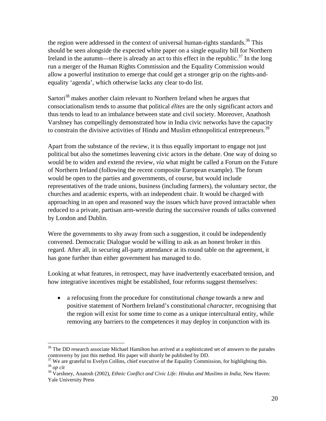the region were addressed in the context of universal human-rights standards.<sup>36</sup> This should be seen alongside the expected white paper on a single equality bill for Northern Ireland in the autumn—there is already an act to this effect in the republic.<sup>37</sup> In the long run a merger of the Human Rights Commission and the Equality Commission would allow a powerful institution to emerge that could get a stronger grip on the rights-andequality 'agenda', which otherwise lacks any clear to-do list.

Sartori<sup>38</sup> makes another claim relevant to Northern Ireland when he argues that consociationalism tends to assume that political *élites* are the only significant actors and thus tends to lead to an imbalance between state and civil society. Moreover, Anathosh Varshney has compellingly demonstrated how in India civic networks have the capacity to constrain the divisive activities of Hindu and Muslim ethnopolitical entrepreneurs.<sup>[39](#page-19-3)</sup>

Apart from the substance of the review, it is thus equally important to engage not just political but also the sometimes leavening civic actors in the debate. One way of doing so would be to widen and extend the review, *via* what might be called a Forum on the Future of Northern Ireland (following the recent composite European example). The forum would be open to the parties and governments, of course, but would include representatives of the trade unions, business (including farmers), the voluntary sector, the churches and academic experts, with an independent chair. It would be charged with approaching in an open and reasoned way the issues which have proved intractable when reduced to a private, partisan arm-wrestle during the successive rounds of talks convened by London and Dublin.

Were the governments to shy away from such a suggestion, it could be independently convened. Democratic Dialogue would be willing to ask as an honest broker in this regard. After all, in securing all-party attendance at its round table on the agreement, it has gone further than either government has managed to do.

Looking at what features, in retrospect, may have inadvertently exacerbated tension, and how integrative incentives might be established, four reforms suggest themselves:

• a refocusing from the procedure for constitutional *change* towards a new and positive statement of Northern Ireland's constitutional *character*, recognising that the region will exist for some time to come as a unique intercultural entity, while removing any barriers to the competences it may deploy in conjunction with its

<span id="page-19-0"></span> $\overline{a}$ <sup>36</sup> The DD research associate Michael Hamilton has arrived at a sophisticated set of answers to the parades controversy by just this method. His paper will shortly be published by DD.

<span id="page-19-1"></span><sup>&</sup>lt;sup>37</sup> We are grateful to Evelyn Collins, chief executive of the Equality Commission, for highlighting this. <sup>38</sup> *op cit* 

<span id="page-19-3"></span><span id="page-19-2"></span><sup>39</sup> Varshney, Anatosh (2002), *Ethnic Conflict and Civic Life: Hindus and Muslims in India*, New Haven: Yale University Press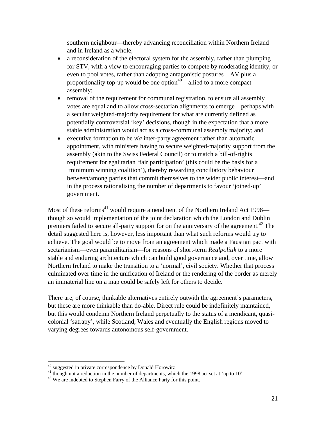southern neighbour—thereby advancing reconciliation within Northern Ireland and in Ireland as a whole;

- a reconsideration of the electoral system for the assembly, rather than plumping for STV, with a view to encouraging parties to compete by moderating identity, or even to pool votes, rather than adopting antagonistic postures—AV plus a proportionality top-up would be one option<sup> $40$ </sup>—allied to a more compact assembly;
- removal of the requirement for communal registration, to ensure all assembly votes are equal and to allow cross-sectarian alignments to emerge—perhaps with a secular weighted-majority requirement for what are currently defined as potentially controversial 'key' decisions, though in the expectation that a more stable administration would act as a cross-communal assembly majority; and
- executive formation to be *via* inter-party agreement rather than automatic appointment, with ministers having to secure weighted-majority support from the assembly (akin to the Swiss Federal Council) or to match a bill-of-rights requirement for egalitarian 'fair participation' (this could be the basis for a 'minimum winning coalition'), thereby rewarding conciliatory behaviour between/among parties that commit themselves to the wider public interest—and in the process rationalising the number of departments to favour 'joined-up' government.

Most of these reforms<sup>41</sup> would require amendment of the Northern Ireland Act 1998 though so would implementation of the joint declaration which the London and Dublin premiers failed to secure all-party support for on the anniversary of the agreement.<sup>42</sup> The detail suggested here is, however, less important than what such reforms would try to achieve. The goal would be to move from an agreement which made a Faustian pact with sectarianism—even paramilitarism—for reasons of short-term *Realpolitik* to a more stable and enduring architecture which can build good governance and, over time, allow Northern Ireland to make the transition to a 'normal', civil society. Whether that process culminated over time in the unification of Ireland or the rendering of the border as merely an immaterial line on a map could be safely left for others to decide.

There are, of course, thinkable alternatives entirely outwith the agreement's parameters, but these are more thinkable than do-able. Direct rule could be indefinitely maintained, but this would condemn Northern Ireland perpetually to the status of a mendicant, quasicolonial 'satrapy', while Scotland, Wales and eventually the English regions moved to varying degrees towards autonomous self-government.

<span id="page-20-1"></span><span id="page-20-0"></span>

<sup>&</sup>lt;sup>40</sup> suggested in private correspondence by Donald Horowitz<br><sup>41</sup> though not a reduction in the number of departments, which the 1998 act set at 'up to 10'<br><sup>42</sup> We are indebted to Stephen Farry of the Alliance Party for th

<span id="page-20-2"></span>